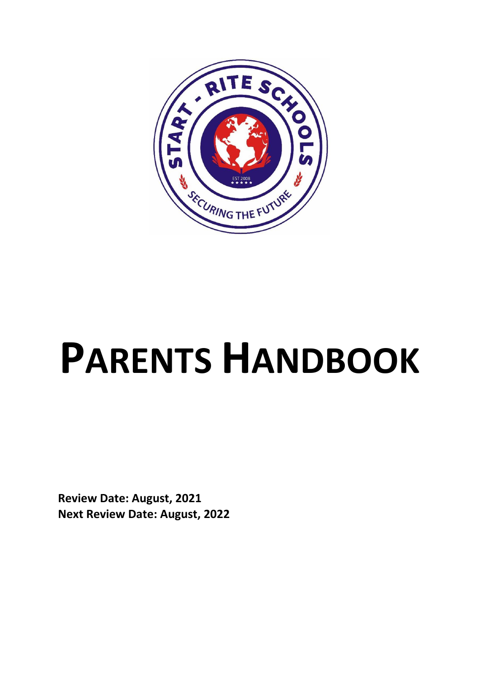

# **PARENTS HANDBOOK**

**Review Date: August, 2021 Next Review Date: August, 2022**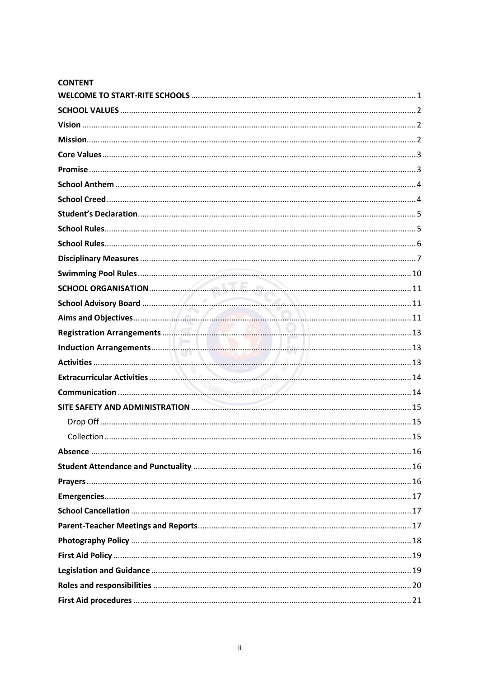| <b>CONTENT</b> |    |
|----------------|----|
|                |    |
|                |    |
|                |    |
|                |    |
|                |    |
|                |    |
|                |    |
|                |    |
|                |    |
|                |    |
|                |    |
|                |    |
|                |    |
|                |    |
|                |    |
|                |    |
|                |    |
|                |    |
|                |    |
|                |    |
|                |    |
|                |    |
|                |    |
| Collection.    | 15 |
|                |    |
|                |    |
|                |    |
|                |    |
|                |    |
|                |    |
|                |    |
|                |    |
|                |    |
|                |    |
|                |    |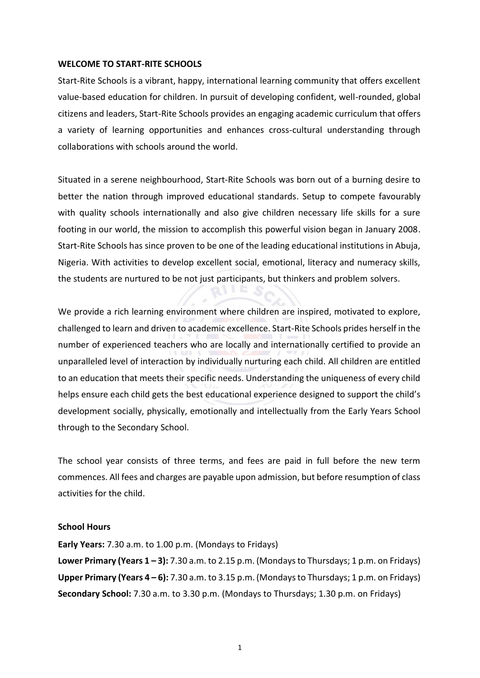#### <span id="page-3-0"></span>**WELCOME TO START-RITE SCHOOLS**

Start-Rite Schools is a vibrant, happy, international learning community that offers excellent value-based education for children. In pursuit of developing confident, well-rounded, global citizens and leaders, Start-Rite Schools provides an engaging academic curriculum that offers a variety of learning opportunities and enhances cross-cultural understanding through collaborations with schools around the world.

Situated in a serene neighbourhood, Start-Rite Schools was born out of a burning desire to better the nation through improved educational standards. Setup to compete favourably with quality schools internationally and also give children necessary life skills for a sure footing in our world, the mission to accomplish this powerful vision began in January 2008. Start-Rite Schools has since proven to be one of the leading educational institutions in Abuja, Nigeria. With activities to develop excellent social, emotional, literacy and numeracy skills, the students are nurtured to be not just participants, but thinkers and problem solvers.

We provide a rich learning environment where children are inspired, motivated to explore, challenged to learn and driven to academic excellence. Start-Rite Schools prides herself in the number of experienced teachers who are locally and internationally certified to provide an unparalleled level of interaction by individually nurturing each child. All children are entitled to an education that meets their specific needs. Understanding the uniqueness of every child helps ensure each child gets the best educational experience designed to support the child's development socially, physically, emotionally and intellectually from the Early Years School through to the Secondary School.

The school year consists of three terms, and fees are paid in full before the new term commences. All fees and charges are payable upon admission, but before resumption of class activities for the child.

#### **School Hours**

**Early Years:** 7.30 a.m. to 1.00 p.m. (Mondays to Fridays) **Lower Primary (Years 1 – 3):** 7.30 a.m. to 2.15 p.m. (Mondaysto Thursdays; 1 p.m. on Fridays) **Upper Primary (Years 4 – 6):** 7.30 a.m. to 3.15 p.m. (Mondaysto Thursdays; 1 p.m. on Fridays) **Secondary School:** 7.30 a.m. to 3.30 p.m. (Mondays to Thursdays; 1.30 p.m. on Fridays)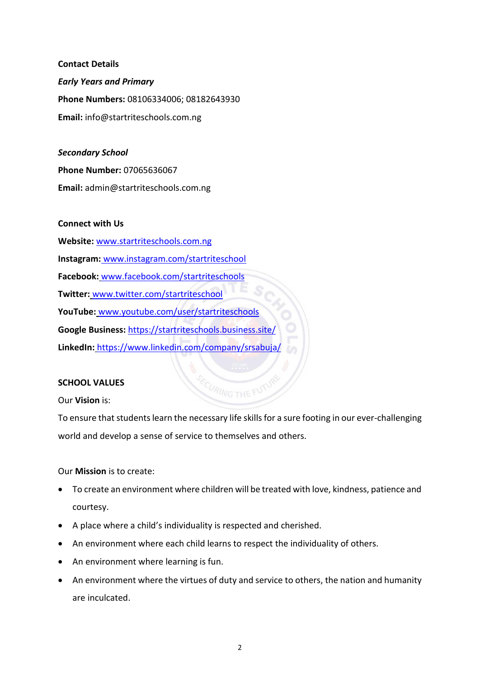**Contact Details** *Early Years and Primary* **Phone Numbers:** 08106334006; 08182643930 **Email:** [info@startriteschools.com.ng](mailto:info@startriteschools.com.ng)

*Secondary School*  **Phone Number:** [07065636067](https://startriteschools.com.ng/principals-message/) **Email:** [admin@startriteschools.com.ng](mailto:admin@startriteschools.com.ng)

#### **Connect with Us**

**Website:** [www.startriteschools.com.ng](http://www.startriteschools.com.ng/) **Instagram:** [www.instagram.com/startriteschool](https://www.instagram.com/startriteschool/) **Facebook:** [www.facebook.com/startriteschools](http://www.facebook.com.startriteschools/) **Twitter:** [www.twitter.com/startriteschool](http://www.twitter.com/startriteschool) **YouTube:** [www.youtube.com/user/startriteschools](http://www.youtube.com/user/startriteschools) **Google Business:** <https://startriteschools.business.site/> **LinkedIn:** https://www.linkedin.com/company/srsabuja/

#### <span id="page-4-0"></span>**SCHOOL VALUES**

<span id="page-4-1"></span>Our **Vision** is:

To ensure that students learn the necessary life skills for a sure footing in our ever-challenging world and develop a sense of service to themselves and others.

<span id="page-4-2"></span>Our **Mission** is to create:

- To create an environment where children will be treated with love, kindness, patience and courtesy.
- A place where a child's individuality is respected and cherished.
- An environment where each child learns to respect the individuality of others.
- An environment where learning is fun.
- An environment where the virtues of duty and service to others, the nation and humanity are inculcated.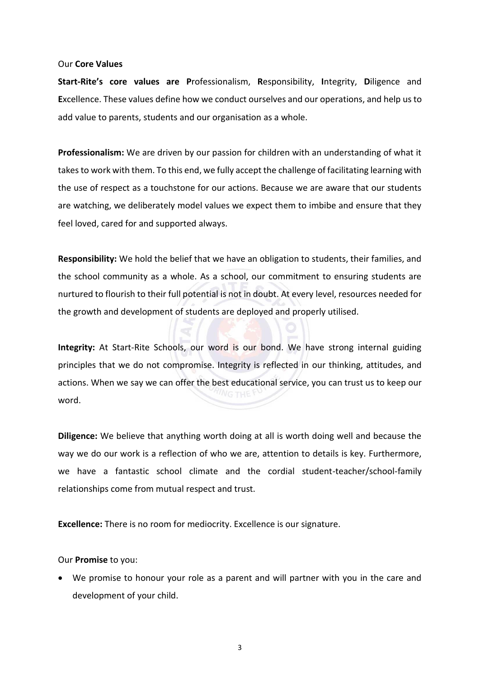#### <span id="page-5-0"></span>Our **Core Values**

**Start-Rite's core values are P**rofessionalism, **R**esponsibility, **I**ntegrity, **D**iligence and **E**xcellence. These values define how we conduct ourselves and our operations, and help usto add value to parents, students and our organisation as a whole.

**Professionalism:** We are driven by our passion for children with an understanding of what it takes to work with them. To this end, we fully accept the challenge of facilitating learning with the use of respect as a touchstone for our actions. Because we are aware that our students are watching, we deliberately model values we expect them to imbibe and ensure that they feel loved, cared for and supported always.

**Responsibility:** We hold the belief that we have an obligation to students, their families, and the school community as a whole. As a school, our commitment to ensuring students are nurtured to flourish to their full potential is not in doubt. At every level, resources needed for the growth and development of students are deployed and properly utilised.

**Integrity:** At Start-Rite Schools, our word is our bond. We have strong internal guiding principles that we do not compromise. Integrity is reflected in our thinking, attitudes, and actions. When we say we can offer the best educational service, you can trust us to keep our word.

**Diligence:** We believe that anything worth doing at all is worth doing well and because the way we do our work is a reflection of who we are, attention to details is key. Furthermore, we have a fantastic school climate and the cordial student-teacher/school-family relationships come from mutual respect and trust.

**Excellence:** There is no room for mediocrity. Excellence is our signature.

#### <span id="page-5-1"></span>Our **Promise** to you:

• We promise to honour your role as a parent and will partner with you in the care and development of your child.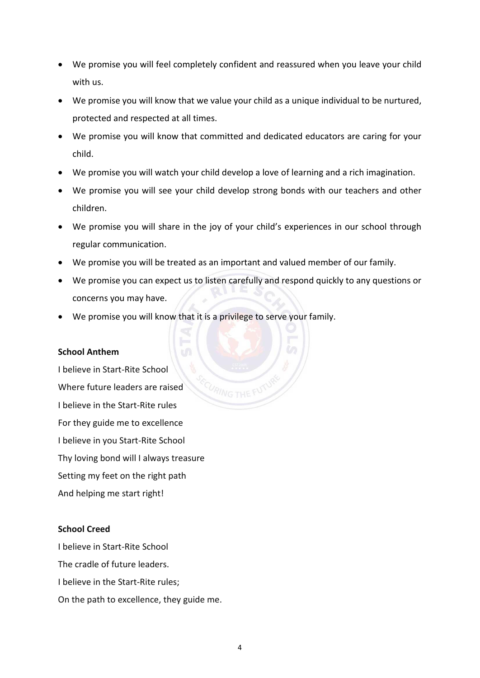- We promise you will feel completely confident and reassured when you leave your child with us.
- We promise you will know that we value your child as a unique individual to be nurtured, protected and respected at all times.
- We promise you will know that committed and dedicated educators are caring for your child.
- We promise you will watch your child develop a love of learning and a rich imagination.
- We promise you will see your child develop strong bonds with our teachers and other children.
- We promise you will share in the joy of your child's experiences in our school through regular communication.
- We promise you will be treated as an important and valued member of our family.
- We promise you can expect us to listen carefully and respond quickly to any questions or concerns you may have.
- We promise you will know that it is a privilege to serve your family.

#### <span id="page-6-0"></span>**School Anthem**

I believe in Start-Rite School Where future leaders are raised I believe in the Start-Rite rules For they guide me to excellence I believe in you Start-Rite School Thy loving bond will I always treasure Setting my feet on the right path And helping me start right!

#### <span id="page-6-1"></span>**School Creed**

I believe in Start-Rite School The cradle of future leaders. I believe in the Start-Rite rules; On the path to excellence, they guide me.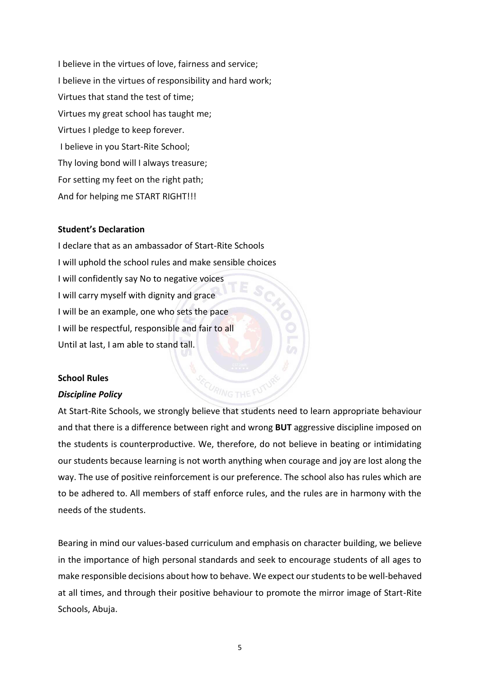I believe in the virtues of love, fairness and service; I believe in the virtues of responsibility and hard work; Virtues that stand the test of time; Virtues my great school has taught me; Virtues I pledge to keep forever. I believe in you Start-Rite School; Thy loving bond will I always treasure; For setting my feet on the right path; And for helping me START RIGHT!!!

#### <span id="page-7-0"></span>**Student's Declaration**

I declare that as an ambassador of Start-Rite Schools I will uphold the school rules and make sensible choices I will confidently say No to negative voices I will carry myself with dignity and grace I will be an example, one who sets the pace I will be respectful, responsible and fair to all Until at last, I am able to stand tall.

#### <span id="page-7-1"></span>**School Rules**

#### *Discipline Policy*

At Start-Rite Schools, we strongly believe that students need to learn appropriate behaviour and that there is a difference between right and wrong **BUT** aggressive discipline imposed on the students is counterproductive. We, therefore, do not believe in beating or intimidating our students because learning is not worth anything when courage and joy are lost along the way. The use of positive reinforcement is our preference. The school also has rules which are to be adhered to. All members of staff enforce rules, and the rules are in harmony with the needs of the students.

Bearing in mind our values-based curriculum and emphasis on character building, we believe in the importance of high personal standards and seek to encourage students of all ages to make responsible decisions about how to behave. We expect our students to be well-behaved at all times, and through their positive behaviour to promote the mirror image of Start-Rite Schools, Abuja.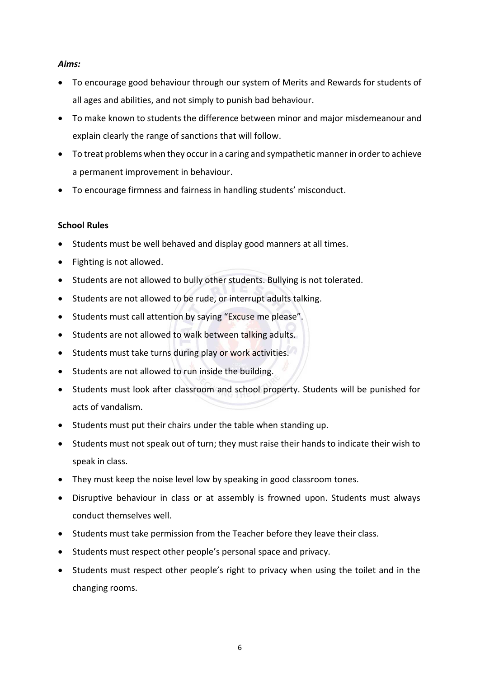#### *Aims:*

- To encourage good behaviour through our system of Merits and Rewards for students of all ages and abilities, and not simply to punish bad behaviour.
- To make known to students the difference between minor and major misdemeanour and explain clearly the range of sanctions that will follow.
- To treat problems when they occur in a caring and sympathetic manner in order to achieve a permanent improvement in behaviour.
- To encourage firmness and fairness in handling students' misconduct.

#### <span id="page-8-0"></span>**School Rules**

- Students must be well behaved and display good manners at all times.
- Fighting is not allowed.
- Students are not allowed to bully other students. Bullying is not tolerated.
- Students are not allowed to be rude, or interrupt adults talking.
- Students must call attention by saying "Excuse me please".
- Students are not allowed to walk between talking adults.
- Students must take turns during play or work activities.
- Students are not allowed to run inside the building.
- Students must look after classroom and school property. Students will be punished for acts of vandalism.
- Students must put their chairs under the table when standing up.
- Students must not speak out of turn; they must raise their hands to indicate their wish to speak in class.
- They must keep the noise level low by speaking in good classroom tones.
- Disruptive behaviour in class or at assembly is frowned upon. Students must always conduct themselves well.
- Students must take permission from the Teacher before they leave their class.
- Students must respect other people's personal space and privacy.
- Students must respect other people's right to privacy when using the toilet and in the changing rooms.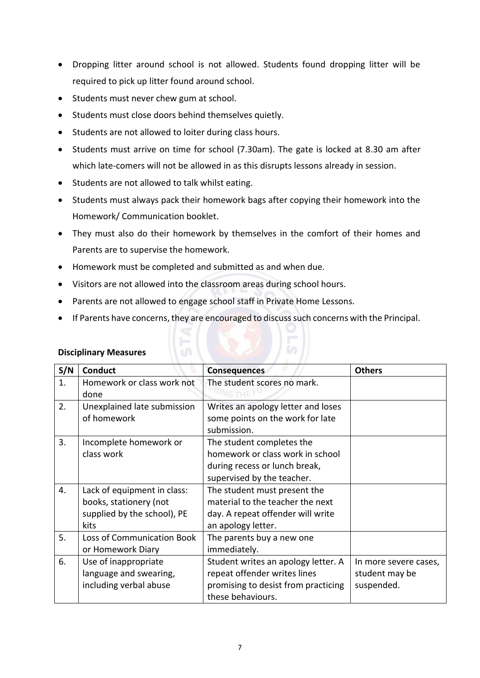- Dropping litter around school is not allowed. Students found dropping litter will be required to pick up litter found around school.
- Students must never chew gum at school.
- Students must close doors behind themselves quietly.
- Students are not allowed to loiter during class hours.
- Students must arrive on time for school (7.30am). The gate is locked at 8.30 am after which late-comers will not be allowed in as this disrupts lessons already in session.
- Students are not allowed to talk whilst eating.
- Students must always pack their homework bags after copying their homework into the Homework/ Communication booklet.
- They must also do their homework by themselves in the comfort of their homes and Parents are to supervise the homework.
- Homework must be completed and submitted as and when due.
- Visitors are not allowed into the classroom areas during school hours.
- Parents are not allowed to engage school staff in Private Home Lessons.
- If Parents have concerns, they are encouraged to discuss such concerns with the Principal.

| S/N | <b>Conduct</b>                                                                               | <b>Consequences</b>                                                                                                             | <b>Others</b>                                         |
|-----|----------------------------------------------------------------------------------------------|---------------------------------------------------------------------------------------------------------------------------------|-------------------------------------------------------|
| 1.  | Homework or class work not<br>done                                                           | The student scores no mark.                                                                                                     |                                                       |
| 2.  | Unexplained late submission<br>of homework                                                   | Writes an apology letter and loses<br>some points on the work for late<br>submission.                                           |                                                       |
| 3.  | Incomplete homework or<br>class work                                                         | The student completes the<br>homework or class work in school<br>during recess or lunch break,<br>supervised by the teacher.    |                                                       |
| 4.  | Lack of equipment in class:<br>books, stationery (not<br>supplied by the school), PE<br>kits | The student must present the<br>material to the teacher the next<br>day. A repeat offender will write<br>an apology letter.     |                                                       |
| 5.  | Loss of Communication Book<br>or Homework Diary                                              | The parents buy a new one<br>immediately.                                                                                       |                                                       |
| 6.  | Use of inappropriate<br>language and swearing,<br>including verbal abuse                     | Student writes an apology letter. A<br>repeat offender writes lines<br>promising to desist from practicing<br>these behaviours. | In more severe cases,<br>student may be<br>suspended. |

#### <span id="page-9-0"></span>**Disciplinary Measures**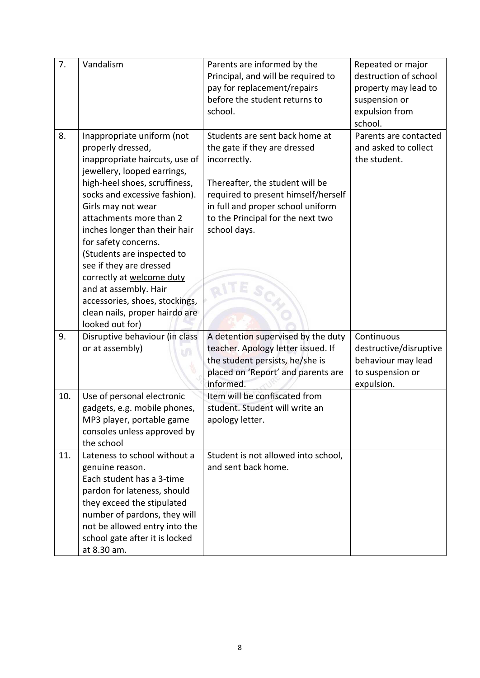| 7.  | Vandalism                                         | Parents are informed by the         | Repeated or major      |
|-----|---------------------------------------------------|-------------------------------------|------------------------|
|     |                                                   | Principal, and will be required to  | destruction of school  |
|     |                                                   | pay for replacement/repairs         | property may lead to   |
|     |                                                   | before the student returns to       | suspension or          |
|     |                                                   | school.                             | expulsion from         |
|     |                                                   |                                     | school.                |
| 8.  | Inappropriate uniform (not                        | Students are sent back home at      | Parents are contacted  |
|     | properly dressed,                                 | the gate if they are dressed        | and asked to collect   |
|     | inappropriate haircuts, use of                    | incorrectly.                        | the student.           |
|     | jewellery, looped earrings,                       |                                     |                        |
|     | high-heel shoes, scruffiness,                     | Thereafter, the student will be     |                        |
|     | socks and excessive fashion).                     | required to present himself/herself |                        |
|     | Girls may not wear                                | in full and proper school uniform   |                        |
|     | attachments more than 2                           | to the Principal for the next two   |                        |
|     | inches longer than their hair                     | school days.                        |                        |
|     | for safety concerns.                              |                                     |                        |
|     | (Students are inspected to                        |                                     |                        |
|     | see if they are dressed                           |                                     |                        |
|     | correctly at welcome duty                         |                                     |                        |
|     | and at assembly. Hair                             |                                     |                        |
|     | accessories, shoes, stockings,                    |                                     |                        |
|     | clean nails, proper hairdo are<br>looked out for) |                                     |                        |
| 9.  | Disruptive behaviour (in class                    | A detention supervised by the duty  | Continuous             |
|     | or at assembly)                                   | teacher. Apology letter issued. If  | destructive/disruptive |
|     |                                                   | the student persists, he/she is     | behaviour may lead     |
|     |                                                   | placed on 'Report' and parents are  | to suspension or       |
|     |                                                   | informed.                           | expulsion.             |
| 10. | Use of personal electronic                        | Item will be confiscated from       |                        |
|     | gadgets, e.g. mobile phones,                      | student. Student will write an      |                        |
|     | MP3 player, portable game                         | apology letter.                     |                        |
|     | consoles unless approved by                       |                                     |                        |
|     | the school                                        |                                     |                        |
| 11. | Lateness to school without a                      | Student is not allowed into school, |                        |
|     | genuine reason.                                   | and sent back home.                 |                        |
|     | Each student has a 3-time                         |                                     |                        |
|     | pardon for lateness, should                       |                                     |                        |
|     | they exceed the stipulated                        |                                     |                        |
|     | number of pardons, they will                      |                                     |                        |
|     | not be allowed entry into the                     |                                     |                        |
|     | school gate after it is locked                    |                                     |                        |
|     | at 8.30 am.                                       |                                     |                        |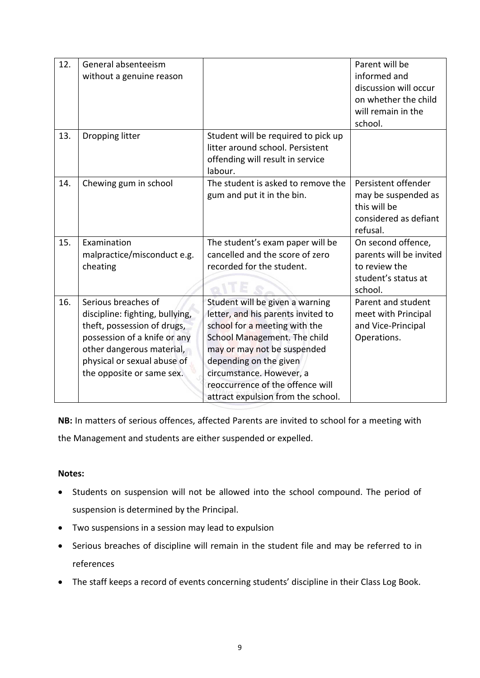| 12. | General absenteeism             |                                     | Parent will be          |
|-----|---------------------------------|-------------------------------------|-------------------------|
|     | without a genuine reason        |                                     | informed and            |
|     |                                 |                                     | discussion will occur   |
|     |                                 |                                     |                         |
|     |                                 |                                     | on whether the child    |
|     |                                 |                                     | will remain in the      |
|     |                                 |                                     | school.                 |
| 13. | Dropping litter                 | Student will be required to pick up |                         |
|     |                                 | litter around school. Persistent    |                         |
|     |                                 | offending will result in service    |                         |
|     |                                 | labour.                             |                         |
| 14. | Chewing gum in school           | The student is asked to remove the  | Persistent offender     |
|     |                                 | gum and put it in the bin.          | may be suspended as     |
|     |                                 |                                     | this will be            |
|     |                                 |                                     | considered as defiant   |
|     |                                 |                                     | refusal.                |
| 15. | Examination                     | The student's exam paper will be    | On second offence,      |
|     | malpractice/misconduct e.g.     | cancelled and the score of zero     | parents will be invited |
|     | cheating                        | recorded for the student.           | to review the           |
|     |                                 |                                     | student's status at     |
|     |                                 |                                     | school.                 |
| 16. | Serious breaches of             | Student will be given a warning     | Parent and student      |
|     | discipline: fighting, bullying, | letter, and his parents invited to  | meet with Principal     |
|     | theft, possession of drugs,     | school for a meeting with the       | and Vice-Principal      |
|     | possession of a knife or any    | School Management. The child        | Operations.             |
|     | other dangerous material,       | may or may not be suspended         |                         |
|     | physical or sexual abuse of     | depending on the given              |                         |
|     | the opposite or same sex.       | circumstance. However, a            |                         |
|     |                                 | reoccurrence of the offence will    |                         |
|     |                                 |                                     |                         |
|     |                                 | attract expulsion from the school.  |                         |

**NB:** In matters of serious offences, affected Parents are invited to school for a meeting with the Management and students are either suspended or expelled.

#### **Notes:**

- Students on suspension will not be allowed into the school compound. The period of suspension is determined by the Principal.
- Two suspensions in a session may lead to expulsion
- Serious breaches of discipline will remain in the student file and may be referred to in references
- The staff keeps a record of events concerning students' discipline in their Class Log Book.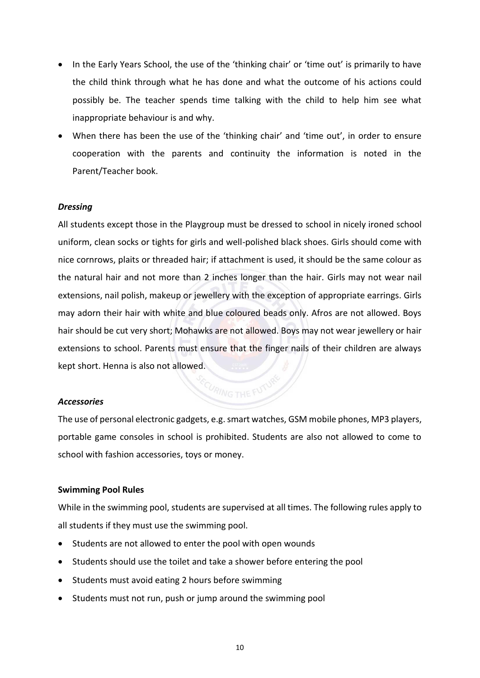- In the Early Years School, the use of the 'thinking chair' or 'time out' is primarily to have the child think through what he has done and what the outcome of his actions could possibly be. The teacher spends time talking with the child to help him see what inappropriate behaviour is and why.
- When there has been the use of the 'thinking chair' and 'time out', in order to ensure cooperation with the parents and continuity the information is noted in the Parent/Teacher book.

#### *Dressing*

All students except those in the Playgroup must be dressed to school in nicely ironed school uniform, clean socks or tights for girls and well-polished black shoes. Girls should come with nice cornrows, plaits or threaded hair; if attachment is used, it should be the same colour as the natural hair and not more than 2 inches longer than the hair. Girls may not wear nail extensions, nail polish, makeup or jewellery with the exception of appropriate earrings. Girls may adorn their hair with white and blue coloured beads only. Afros are not allowed. Boys hair should be cut very short; Mohawks are not allowed. Boys may not wear jewellery or hair extensions to school. Parents must ensure that the finger nails of their children are always kept short. Henna is also not allowed.

#### *Accessories*

The use of personal electronic gadgets, e.g. smart watches, GSM mobile phones, MP3 players, portable game consoles in school is prohibited. Students are also not allowed to come to school with fashion accessories, toys or money.

#### <span id="page-12-0"></span>**Swimming Pool Rules**

While in the swimming pool, students are supervised at all times. The following rules apply to all students if they must use the swimming pool.

- Students are not allowed to enter the pool with open wounds
- Students should use the toilet and take a shower before entering the pool
- Students must avoid eating 2 hours before swimming
- Students must not run, push or jump around the swimming pool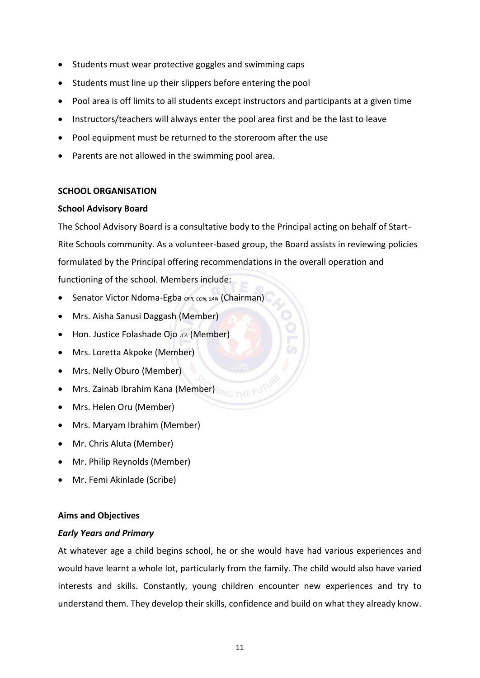- Students must wear protective goggles and swimming caps
- Students must line up their slippers before entering the pool
- Pool area is off limits to all students except instructors and participants at a given time
- Instructors/teachers will always enter the pool area first and be the last to leave
- Pool equipment must be returned to the storeroom after the use
- Parents are not allowed in the swimming pool area.

#### <span id="page-13-0"></span>**SCHOOL ORGANISATION**

#### <span id="page-13-1"></span>**School Advisory Board**

The School Advisory Board is a consultative body to the Principal acting on behalf of Start-Rite Schools community. As a volunteer-based group, the Board assists in reviewing policies formulated by the Principal offering recommendations in the overall operation and functioning of the school. Members include:

- Senator Victor Ndoma-Egba *OFR, CON, SAN* (Chairman)
- Mrs. Aisha Sanusi Daggash (Member)
- Hon. Justice Folashade Ojo *JCA* (Member)
- Mrs. Loretta Akpoke (Member)
- Mrs. Nelly Oburo (Member)
- Mrs. Zainab Ibrahim Kana (Member)
- Mrs. Helen Oru (Member)
- Mrs. Maryam Ibrahim (Member)
- Mr. Chris Aluta (Member)
- Mr. Philip Reynolds (Member)
- Mr. Femi Akinlade (Scribe)

#### <span id="page-13-2"></span>**Aims and Objectives**

#### *Early Years and Primary*

At whatever age a child begins school, he or she would have had various experiences and would have learnt a whole lot, particularly from the family. The child would also have varied interests and skills. Constantly, young children encounter new experiences and try to understand them. They develop their skills, confidence and build on what they already know.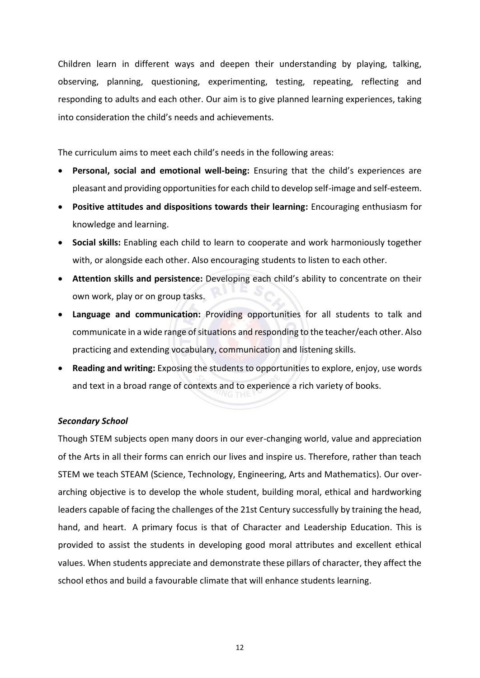Children learn in different ways and deepen their understanding by playing, talking, observing, planning, questioning, experimenting, testing, repeating, reflecting and responding to adults and each other. Our aim is to give planned learning experiences, taking into consideration the child's needs and achievements.

The curriculum aims to meet each child's needs in the following areas:

- **Personal, social and emotional well-being:** Ensuring that the child's experiences are pleasant and providing opportunities for each child to develop self-image and self-esteem.
- **Positive attitudes and dispositions towards their learning:** Encouraging enthusiasm for knowledge and learning.
- **Social skills:** Enabling each child to learn to cooperate and work harmoniously together with, or alongside each other. Also encouraging students to listen to each other.
- **Attention skills and persistence:** Developing each child's ability to concentrate on their own work, play or on group tasks.
- **Language and communication:** Providing opportunities for all students to talk and communicate in a wide range of situations and responding to the teacher/each other. Also practicing and extending vocabulary, communication and listening skills.
- **Reading and writing:** Exposing the students to opportunities to explore, enjoy, use words and text in a broad range of contexts and to experience a rich variety of books.

#### *Secondary School*

Though STEM subjects open many doors in our ever-changing world, value and appreciation of the Arts in all their forms can enrich our lives and inspire us. Therefore, rather than teach STEM we teach STEAM (Science, Technology, Engineering, Arts and Mathematics). Our overarching objective is to develop the whole student, building moral, ethical and hardworking leaders capable of facing the challenges of the 21st Century successfully by training the head, hand, and heart. A primary focus is that of Character and Leadership Education. This is provided to assist the students in developing good moral attributes and excellent ethical values. When students appreciate and demonstrate these pillars of character, they affect the school ethos and build a favourable climate that will enhance students learning.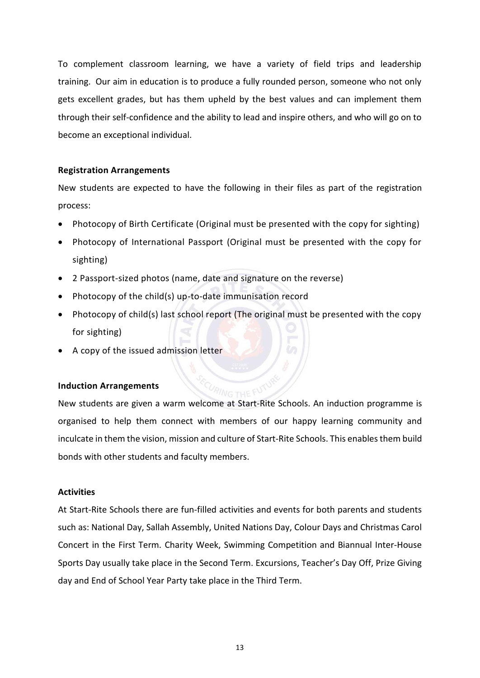To complement classroom learning, we have a variety of field trips and leadership training. Our aim in education is to produce a fully rounded person, someone who not only gets excellent grades, but has them upheld by the best values and can implement them through their self-confidence and the ability to lead and inspire others, and who will go on to become an exceptional individual.

#### <span id="page-15-0"></span>**Registration Arrangements**

New students are expected to have the following in their files as part of the registration process:

- Photocopy of Birth Certificate (Original must be presented with the copy for sighting)
- Photocopy of International Passport (Original must be presented with the copy for sighting)
- 2 Passport-sized photos (name, date and signature on the reverse)
- Photocopy of the child(s) up-to-date immunisation record
- Photocopy of child(s) last school report (The original must be presented with the copy for sighting)
- A copy of the issued admission letter

#### <span id="page-15-1"></span>**Induction Arrangements**

New students are given a warm welcome at Start-Rite Schools. An induction programme is organised to help them connect with members of our happy learning community and inculcate in them the vision, mission and culture of Start-Rite Schools. This enables them build bonds with other students and faculty members.

#### <span id="page-15-2"></span>**Activities**

At Start-Rite Schools there are fun-filled activities and events for both parents and students such as: National Day, Sallah Assembly, United Nations Day, Colour Days and Christmas Carol Concert in the First Term. Charity Week, Swimming Competition and Biannual Inter-House Sports Day usually take place in the Second Term. Excursions, Teacher's Day Off, Prize Giving day and End of School Year Party take place in the Third Term.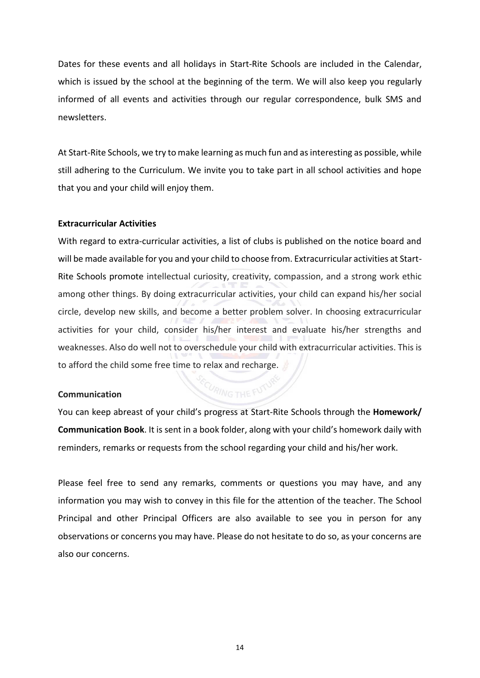Dates for these events and all holidays in Start-Rite Schools are included in the Calendar, which is issued by the school at the beginning of the term. We will also keep you regularly informed of all events and activities through our regular correspondence, bulk SMS and newsletters.

At Start-Rite Schools, we try to make learning as much fun and as interesting as possible, while still adhering to the Curriculum. We invite you to take part in all school activities and hope that you and your child will enjoy them.

#### <span id="page-16-0"></span>**Extracurricular Activities**

With regard to extra-curricular activities, a list of clubs is published on the notice board and will be made available for you and your child to choose from. Extracurricular activities at Start-Rite Schools promote intellectual curiosity, creativity, compassion, and a strong work ethic among other things. By doing extracurricular activities, your child can expand his/her social circle, develop new skills, and become a better problem solver. In choosing extracurricular activities for your child, consider his/her interest and evaluate his/her strengths and weaknesses. Also do well not to overschedule your child with extracurricular activities. This is to afford the child some free time to relax and recharge.

#### <span id="page-16-1"></span>**Communication**

You can keep abreast of your child's progress at Start-Rite Schools through the **Homework/ Communication Book**. It is sent in a book folder, along with your child's homework daily with reminders, remarks or requests from the school regarding your child and his/her work.

Please feel free to send any remarks, comments or questions you may have, and any information you may wish to convey in this file for the attention of the teacher. The School Principal and other Principal Officers are also available to see you in person for any observations or concerns you may have. Please do not hesitate to do so, as your concerns are also our concerns.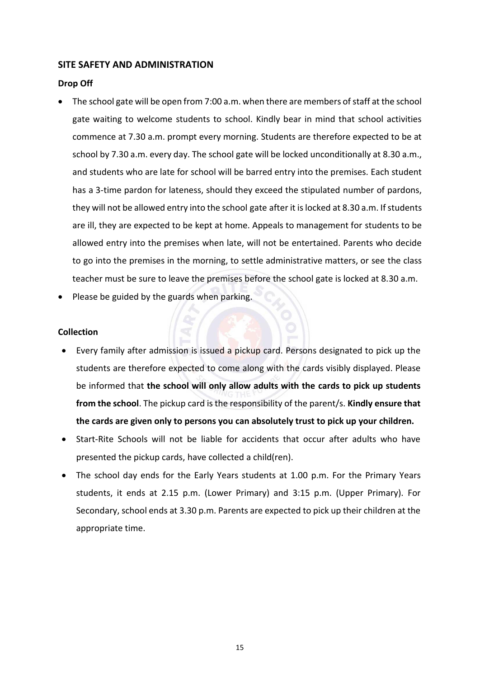#### <span id="page-17-0"></span>**SITE SAFETY AND ADMINISTRATION**

#### <span id="page-17-1"></span>**Drop Off**

- The school gate will be open from 7:00 a.m. when there are members of staff at the school gate waiting to welcome students to school. Kindly bear in mind that school activities commence at 7.30 a.m. prompt every morning. Students are therefore expected to be at school by 7.30 a.m. every day. The school gate will be locked unconditionally at 8.30 a.m., and students who are late for school will be barred entry into the premises. Each student has a 3-time pardon for lateness, should they exceed the stipulated number of pardons, they will not be allowed entry into the school gate after it is locked at 8.30 a.m. If students are ill, they are expected to be kept at home. Appeals to management for students to be allowed entry into the premises when late, will not be entertained. Parents who decide to go into the premises in the morning, to settle administrative matters, or see the class teacher must be sure to leave the premises before the school gate is locked at 8.30 a.m.
- Please be guided by the guards when parking.

#### <span id="page-17-2"></span>**Collection**

- Every family after admission is issued a pickup card. Persons designated to pick up the students are therefore expected to come along with the cards visibly displayed. Please be informed that **the school will only allow adults with the cards to pick up students from the school**. The pickup card is the responsibility of the parent/s. **Kindly ensure that the cards are given only to persons you can absolutely trust to pick up your children.**
- Start-Rite Schools will not be liable for accidents that occur after adults who have presented the pickup cards, have collected a child(ren).
- The school day ends for the Early Years students at 1.00 p.m. For the Primary Years students, it ends at 2.15 p.m. (Lower Primary) and 3:15 p.m. (Upper Primary). For Secondary, school ends at 3.30 p.m. Parents are expected to pick up their children at the appropriate time.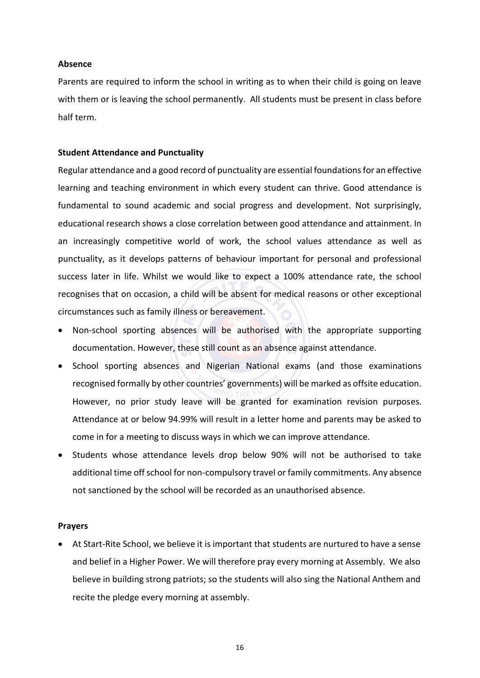#### <span id="page-18-0"></span>**Absence**

Parents are required to inform the school in writing as to when their child is going on leave with them or is leaving the school permanently. All students must be present in class before half term.

#### <span id="page-18-1"></span>**Student Attendance and Punctuality**

Regular attendance and a good record of punctuality are essential foundations for an effective learning and teaching environment in which every student can thrive. Good attendance is fundamental to sound academic and social progress and development. Not surprisingly, educational research shows a close correlation between good attendance and attainment. In an increasingly competitive world of work, the school values attendance as well as punctuality, as it develops patterns of behaviour important for personal and professional success later in life. Whilst we would like to expect a 100% attendance rate, the school recognises that on occasion, a child will be absent for medical reasons or other exceptional circumstances such as family illness or bereavement.

- Non-school sporting absences will be authorised with the appropriate supporting documentation. However, these still count as an absence against attendance.
- School sporting absences and Nigerian National exams (and those examinations recognised formally by other countries' governments) will be marked as offsite education. However, no prior study leave will be granted for examination revision purposes. Attendance at or below 94.99% will result in a letter home and parents may be asked to come in for a meeting to discuss ways in which we can improve attendance.
- Students whose attendance levels drop below 90% will not be authorised to take additional time off school for non-compulsory travel or family commitments. Any absence not sanctioned by the school will be recorded as an unauthorised absence.

#### <span id="page-18-2"></span>**Prayers**

• At Start-Rite School, we believe it is important that students are nurtured to have a sense and belief in a Higher Power. We will therefore pray every morning at Assembly. We also believe in building strong patriots; so the students will also sing the National Anthem and recite the pledge every morning at assembly.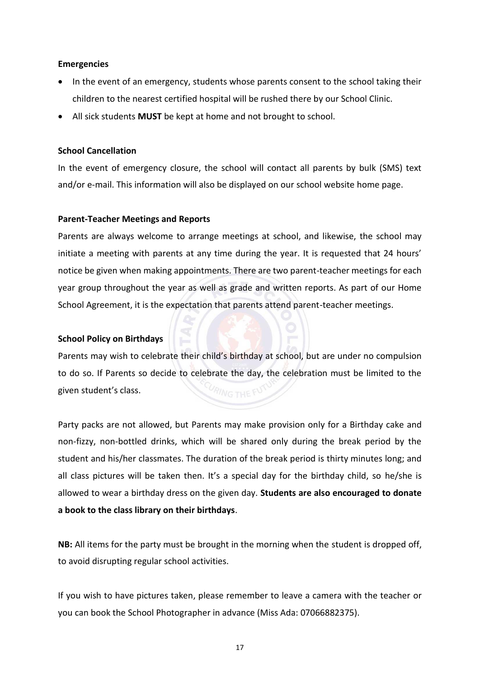#### <span id="page-19-0"></span>**Emergencies**

- In the event of an emergency, students whose parents consent to the school taking their children to the nearest certified hospital will be rushed there by our School Clinic.
- All sick students **MUST** be kept at home and not brought to school.

#### <span id="page-19-1"></span>**School Cancellation**

In the event of emergency closure, the school will contact all parents by bulk (SMS) text and/or e-mail. This information will also be displayed on our school website home page.

#### <span id="page-19-2"></span>**Parent-Teacher Meetings and Reports**

Parents are always welcome to arrange meetings at school, and likewise, the school may initiate a meeting with parents at any time during the year. It is requested that 24 hours' notice be given when making appointments. There are two parent-teacher meetings for each year group throughout the year as well as grade and written reports. As part of our Home School Agreement, it is the expectation that parents attend parent-teacher meetings.

#### **School Policy on Birthdays**

Parents may wish to celebrate their child's birthday at school, but are under no compulsion to do so. If Parents so decide to celebrate the day, the celebration must be limited to the given student's class.

Party packs are not allowed, but Parents may make provision only for a Birthday cake and non-fizzy, non-bottled drinks, which will be shared only during the break period by the student and his/her classmates. The duration of the break period is thirty minutes long; and all class pictures will be taken then. It's a special day for the birthday child, so he/she is allowed to wear a birthday dress on the given day. **Students are also encouraged to donate a book to the class library on their birthdays**.

**NB:** All items for the party must be brought in the morning when the student is dropped off, to avoid disrupting regular school activities.

If you wish to have pictures taken, please remember to leave a camera with the teacher or you can book the School Photographer in advance (Miss Ada: 07066882375).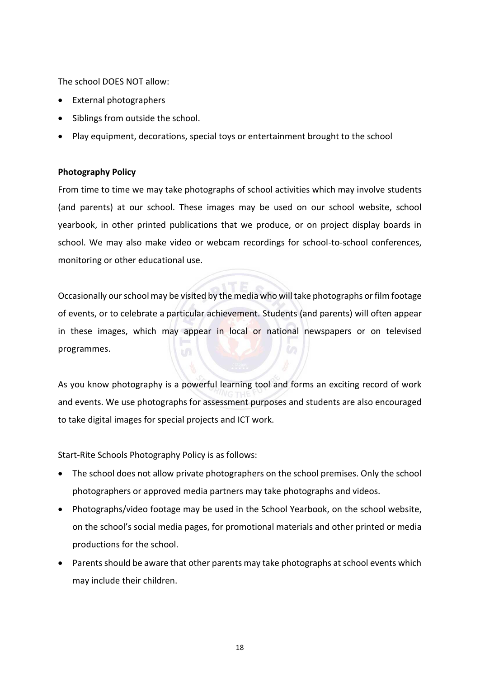The school DOES NOT allow:

- External photographers
- Siblings from outside the school.
- Play equipment, decorations, special toys or entertainment brought to the school

#### <span id="page-20-0"></span>**Photography Policy**

From time to time we may take photographs of school activities which may involve students (and parents) at our school. These images may be used on our school website, school yearbook, in other printed publications that we produce, or on project display boards in school. We may also make video or webcam recordings for school-to-school conferences, monitoring or other educational use.

Occasionally our school may be visited by the media who will take photographs or film footage of events, or to celebrate a particular achievement. Students (and parents) will often appear in these images, which may appear in local or national newspapers or on televised programmes.

As you know photography is a powerful learning tool and forms an exciting record of work and events. We use photographs for assessment purposes and students are also encouraged to take digital images for special projects and ICT work.

Start-Rite Schools Photography Policy is as follows:

- The school does not allow private photographers on the school premises. Only the school photographers or approved media partners may take photographs and videos.
- Photographs/video footage may be used in the School Yearbook, on the school website, on the school's social media pages, for promotional materials and other printed or media productions for the school.
- Parents should be aware that other parents may take photographs at school events which may include their children.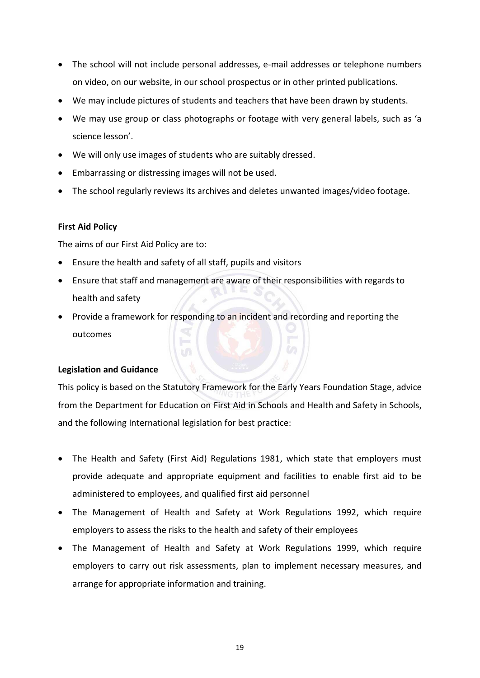- The school will not include personal addresses, e-mail addresses or telephone numbers on video, on our website, in our school prospectus or in other printed publications.
- We may include pictures of students and teachers that have been drawn by students.
- We may use group or class photographs or footage with very general labels, such as 'a science lesson'.
- We will only use images of students who are suitably dressed.
- Embarrassing or distressing images will not be used.
- The school regularly reviews its archives and deletes unwanted images/video footage.

#### <span id="page-21-0"></span>**First Aid Policy**

The aims of our First Aid Policy are to:

- Ensure the health and safety of all staff, pupils and visitors
- Ensure that staff and management are aware of their responsibilities with regards to health and safety
- Provide a framework for responding to an incident and recording and reporting the outcomes

#### <span id="page-21-1"></span>**Legislation and Guidance**

This policy is based on the [Statutory Framework for the Early Years Foundation Stage,](https://www.gov.uk/government/uploads/system/uploads/attachment_data/file/596629/EYFS_STATUTORY_FRAMEWORK_2017.pdf) advice from the Department for Education on [First Aid in Schools](https://www.gov.uk/government/publications/first-aid-in-schools) and [Health and Safety in Schools,](https://www.gov.uk/government/publications/health-and-safety-advice-for-schools) and the following International legislation for best practice:

- [The Health and Safety \(First Aid\) Regulations 1981,](http://www.legislation.gov.uk/uksi/1981/917/regulation/3/made) which state that employers must provide adequate and appropriate equipment and facilities to enable first aid to be administered to employees, and qualified first aid personnel
- [The Management of Health and Safety at Work Regulations 1992,](http://www.legislation.gov.uk/uksi/1992/2051/regulation/3/made) which require employers to assess the risks to the health and safety of their employees
- [The Management of Health and Safety at Work Regulations 1999,](http://www.legislation.gov.uk/uksi/1999/3242/contents/made) which require employers to carry out risk assessments, plan to implement necessary measures, and arrange for appropriate information and training.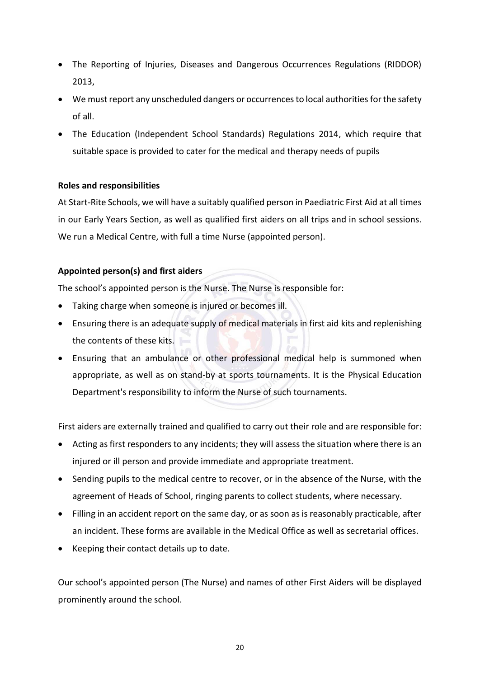- [The Reporting of Injuries, Diseases and Dangerous Occurrences Regulations \(RIDDOR\)](http://www.legislation.gov.uk/uksi/2013/1471/schedule/1/paragraph/1/made)  [2013,](http://www.legislation.gov.uk/uksi/2013/1471/schedule/1/paragraph/1/made)
- We must report any unscheduled dangers or occurrences to local authorities for the safety of all.
- [The Education \(Independent School Standards\) Regulations 2014,](http://www.legislation.gov.uk/uksi/2014/3283/schedule/made) which require that suitable space is provided to cater for the medical and therapy needs of pupils

#### <span id="page-22-0"></span>**Roles and responsibilities**

At Start-Rite Schools, we will have a suitably qualified person in Paediatric First Aid at all times in our Early Years Section, as well as qualified first aiders on all trips and in school sessions. We run a Medical Centre, with full a time Nurse (appointed person).

#### **Appointed person(s) and first aiders**

The school's appointed person is the Nurse. The Nurse is responsible for:

- Taking charge when someone is injured or becomes ill.
- Ensuring there is an adequate supply of medical materials in first aid kits and replenishing the contents of these kits.
- Ensuring that an ambulance or other professional medical help is summoned when appropriate, as well as on stand-by at sports tournaments. It is the Physical Education Department's responsibility to inform the Nurse of such tournaments.

First aiders are externally trained and qualified to carry out their role and are responsible for:

- Acting as first responders to any incidents; they will assess the situation where there is an injured or ill person and provide immediate and appropriate treatment.
- Sending pupils to the medical centre to recover, or in the absence of the Nurse, with the agreement of Heads of School, ringing parents to collect students, where necessary.
- Filling in an accident report on the same day, or as soon as is reasonably practicable, after an incident. These forms are available in the Medical Office as well as secretarial offices.
- Keeping their contact details up to date.

Our school's appointed person (The Nurse) and names of other First Aiders will be displayed prominently around the school.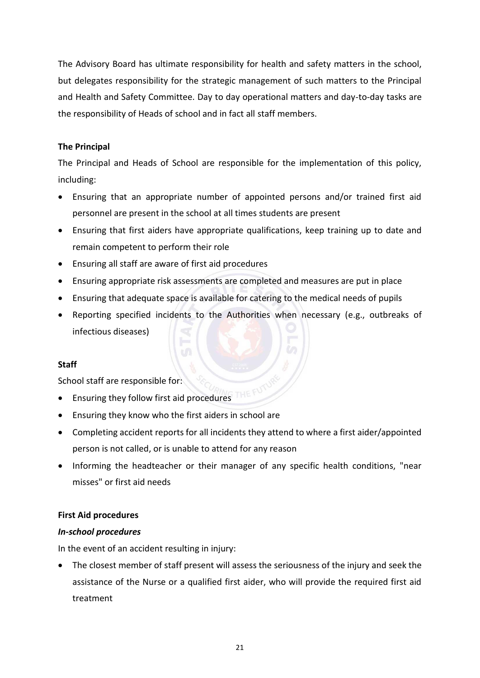The Advisory Board has ultimate responsibility for health and safety matters in the school, but delegates responsibility for the strategic management of such matters to the Principal and Health and Safety Committee. Day to day operational matters and day-to-day tasks are the responsibility of Heads of school and in fact all staff members.

#### **The Principal**

The Principal and Heads of School are responsible for the implementation of this policy, including:

- Ensuring that an appropriate number of appointed persons and/or trained first aid personnel are present in the school at all times students are present
- Ensuring that first aiders have appropriate qualifications, keep training up to date and remain competent to perform their role
- Ensuring all staff are aware of first aid procedures
- Ensuring appropriate risk assessments are completed and measures are put in place
- Ensuring that adequate space is available for catering to the medical needs of pupils
- Reporting specified incidents to the Authorities when necessary (e.g., outbreaks of infectious diseases)

#### **Staff**

School staff are responsible for:

- Ensuring they follow first aid procedures
- Ensuring they know who the first aiders in school are

l-

- Completing accident reports for all incidents they attend to where a first aider/appointed person is not called, or is unable to attend for any reason
- Informing the headteacher or their manager of any specific health conditions, "near misses" or first aid needs

#### <span id="page-23-0"></span>**First Aid procedures**

#### *In-school procedures*

In the event of an accident resulting in injury:

• The closest member of staff present will assess the seriousness of the injury and seek the assistance of the Nurse or a qualified first aider, who will provide the required first aid treatment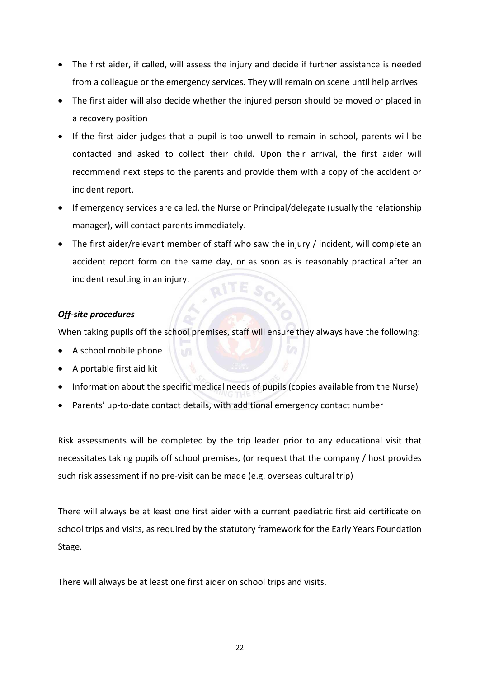- The first aider, if called, will assess the injury and decide if further assistance is needed from a colleague or the emergency services. They will remain on scene until help arrives
- The first aider will also decide whether the injured person should be moved or placed in a recovery position
- If the first aider judges that a pupil is too unwell to remain in school, parents will be contacted and asked to collect their child. Upon their arrival, the first aider will recommend next steps to the parents and provide them with a copy of the accident or incident report.
- If emergency services are called, the Nurse or Principal/delegate (usually the relationship manager), will contact parents immediately.
- The first aider/relevant member of staff who saw the injury / incident, will complete an accident report form on the same day, or as soon as is reasonably practical after an incident resulting in an injury.

#### *Off-site procedures*

When taking pupils off the school premises, staff will ensure they always have the following:

- A school mobile phone
- A portable first aid kit
- Information about the specific medical needs of pupils (copies available from the Nurse)
- Parents' up-to-date contact details, with additional emergency contact number

Risk assessments will be completed by the trip leader prior to any educational visit that necessitates taking pupils off school premises, (or request that the company / host provides such risk assessment if no pre-visit can be made (e.g. overseas cultural trip)

There will always be at least one first aider with a current paediatric first aid certificate on school trips and visits, as required by the statutory framework for the Early Years Foundation Stage.

There will always be at least one first aider on school trips and visits.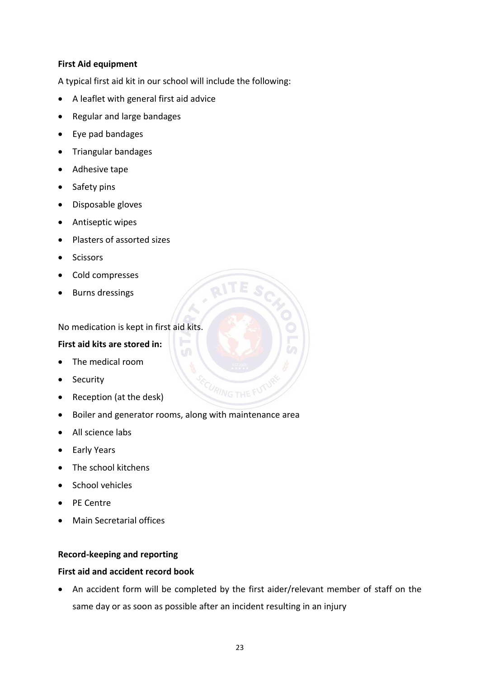#### <span id="page-25-0"></span>**First Aid equipment**

A typical first aid kit in our school will include the following:

- A leaflet with general first aid advice
- Regular and large bandages
- Eye pad bandages
- Triangular bandages
- Adhesive tape
- Safety pins
- Disposable gloves
- Antiseptic wipes
- Plasters of assorted sizes
- Scissors
- Cold compresses
- Burns dressings

No medication is kept in first aid kits.

#### **First aid kits are stored in:**

- The medical room
- Security
- Reception (at the desk)
- Boiler and generator rooms, along with maintenance area
- All science labs
- Early Years
- The school kitchens
- School vehicles
- PE Centre
- Main Secretarial offices

#### <span id="page-25-1"></span>**Record-keeping and reporting**

#### **First aid and accident record book**

• An accident form will be completed by the first aider/relevant member of staff on the same day or as soon as possible after an incident resulting in an injury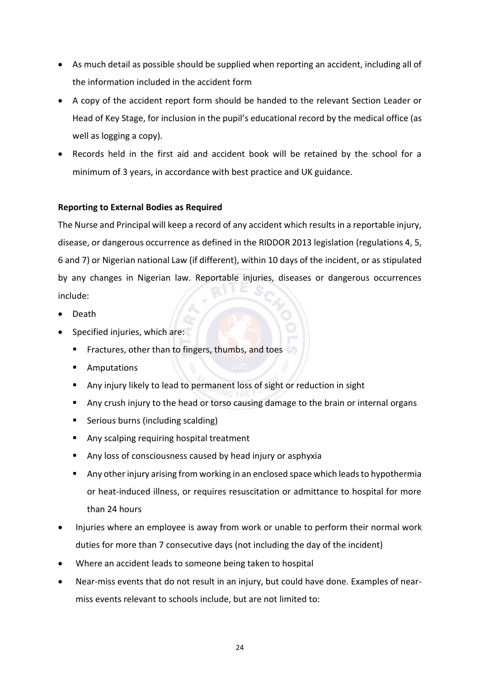- As much detail as possible should be supplied when reporting an accident, including all of the information included in the accident form
- A copy of the accident report form should be handed to the relevant Section Leader or Head of Key Stage, for inclusion in the pupil's educational record by the medical office (as well as logging a copy).
- Records held in the first aid and accident book will be retained by the school for a minimum of 3 years, in accordance with best practice and UK guidance.

#### **Reporting to External Bodies as Required**

The Nurse and Principal will keep a record of any accident which results in a reportable injury, disease, or dangerous occurrence as defined in the RIDDOR 2013 legislation (regulations 4, 5, 6 and 7) or Nigerian national Law (if different), within 10 days of the incident, or as stipulated by any changes in Nigerian law. Reportable injuries, diseases or dangerous occurrences include:

- Death
- Specified injuries, which are:
	- **EXECUTE:** Fractures, other than to fingers, thumbs, and toes
	- Amputations
	- Any injury likely to lead to permanent loss of sight or reduction in sight
	- Any crush injury to the head or torso causing damage to the brain or internal organs
	- Serious burns (including scalding)
	- Any scalping requiring hospital treatment
	- Any loss of consciousness caused by head injury or asphyxia
	- Any other injury arising from working in an enclosed space which leads to hypothermia or heat-induced illness, or requires resuscitation or admittance to hospital for more than 24 hours
- Injuries where an employee is away from work or unable to perform their normal work duties for more than 7 consecutive days (not including the day of the incident)
- Where an accident leads to someone being taken to hospital
- Near-miss events that do not result in an injury, but could have done. Examples of nearmiss events relevant to schools include, but are not limited to: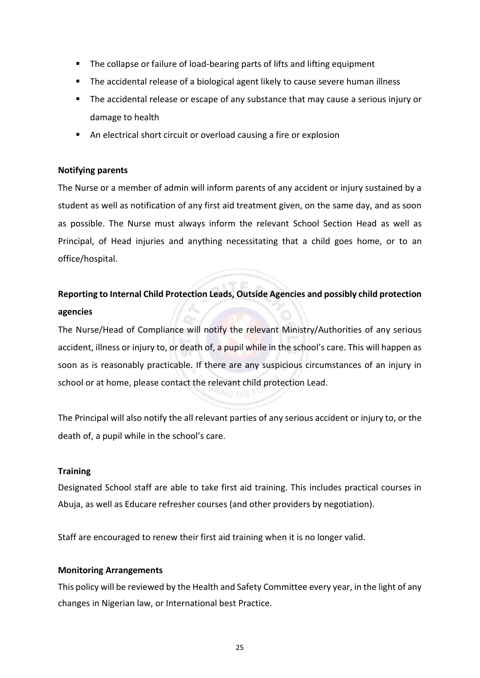- The collapse or failure of load-bearing parts of lifts and lifting equipment
- The accidental release of a biological agent likely to cause severe human illness
- **The accidental release or escape of any substance that may cause a serious injury or** damage to health
- An electrical short circuit or overload causing a fire or explosion

#### **Notifying parents**

The Nurse or a member of admin will inform parents of any accident or injury sustained by a student as well as notification of any first aid treatment given, on the same day, and as soon as possible. The Nurse must always inform the relevant School Section Head as well as Principal, of Head injuries and anything necessitating that a child goes home, or to an office/hospital.

## **Reporting to Internal Child Protection Leads, Outside Agencies and possibly child protection agencies**

The Nurse/Head of Compliance will notify the relevant Ministry/Authorities of any serious accident, illness or injury to, or death of, a pupil while in the school's care. This will happen as soon as is reasonably practicable. If there are any suspicious circumstances of an injury in school or at home, please contact the relevant child protection Lead.

The Principal will also notify the all relevant parties of any serious accident or injury to, or the death of, a pupil while in the school's care.

#### <span id="page-27-0"></span>**Training**

Designated School staff are able to take first aid training. This includes practical courses in Abuja, as well as Educare refresher courses (and other providers by negotiation).

Staff are encouraged to renew their first aid training when it is no longer valid.

#### <span id="page-27-1"></span>**Monitoring Arrangements**

This policy will be reviewed by the Health and Safety Committee every year, in the light of any changes in Nigerian law, or International best Practice.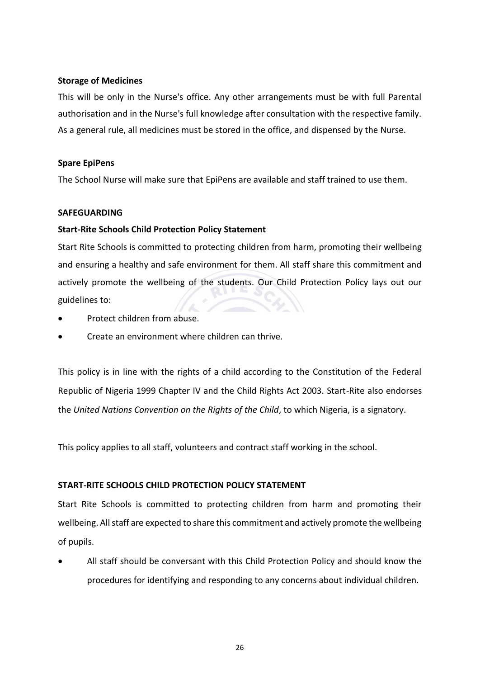#### **Storage of Medicines**

This will be only in the Nurse's office. Any other arrangements must be with full Parental authorisation and in the Nurse's full knowledge after consultation with the respective family. As a general rule, all medicines must be stored in the office, and dispensed by the Nurse.

#### **Spare EpiPens**

The School Nurse will make sure that EpiPens are available and staff trained to use them.

#### <span id="page-28-0"></span>**SAFEGUARDING**

#### <span id="page-28-1"></span>**Start-Rite Schools Child Protection Policy Statement**

Start Rite Schools is committed to protecting children from harm, promoting their wellbeing and ensuring a healthy and safe environment for them. All staff share this commitment and actively promote the wellbeing of the students. Our Child Protection Policy lays out our guidelines to:

- Protect children from abuse.
- Create an environment where children can thrive.

This policy is in line with the rights of a child according to the Constitution of the Federal Republic of Nigeria 1999 Chapter IV and the Child Rights Act 2003. Start-Rite also endorses the *United Nations Convention on the Rights of the Child*, to which Nigeria, is a signatory.

This policy applies to all staff, volunteers and contract staff working in the school.

#### **START-RITE SCHOOLS CHILD PROTECTION POLICY STATEMENT**

Start Rite Schools is committed to protecting children from harm and promoting their wellbeing. All staff are expected to share this commitment and actively promote the wellbeing of pupils.

• All staff should be conversant with this Child Protection Policy and should know the procedures for identifying and responding to any concerns about individual children.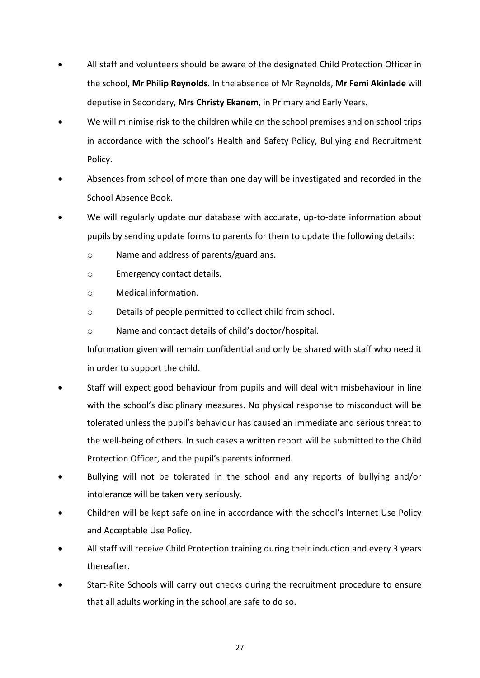- All staff and volunteers should be aware of the designated Child Protection Officer in the school, **Mr Philip Reynolds**. In the absence of Mr Reynolds, **Mr Femi Akinlade** will deputise in Secondary, **Mrs Christy Ekanem**, in Primary and Early Years.
- We will minimise risk to the children while on the school premises and on school trips in accordance with the school's Health and Safety Policy, Bullying and Recruitment Policy.
- Absences from school of more than one day will be investigated and recorded in the School Absence Book.
- We will regularly update our database with accurate, up-to-date information about pupils by sending update forms to parents for them to update the following details:
	- o Name and address of parents/guardians.
	- o Emergency contact details.
	- o Medical information.
	- o Details of people permitted to collect child from school.
	- o Name and contact details of child's doctor/hospital.

Information given will remain confidential and only be shared with staff who need it in order to support the child.

- Staff will expect good behaviour from pupils and will deal with misbehaviour in line with the school's disciplinary measures. No physical response to misconduct will be tolerated unless the pupil's behaviour has caused an immediate and serious threat to the well-being of others. In such cases a written report will be submitted to the Child Protection Officer, and the pupil's parents informed.
- Bullying will not be tolerated in the school and any reports of bullying and/or intolerance will be taken very seriously.
- Children will be kept safe online in accordance with the school's Internet Use Policy and Acceptable Use Policy.
- All staff will receive Child Protection training during their induction and every 3 years thereafter.
- Start-Rite Schools will carry out checks during the recruitment procedure to ensure that all adults working in the school are safe to do so.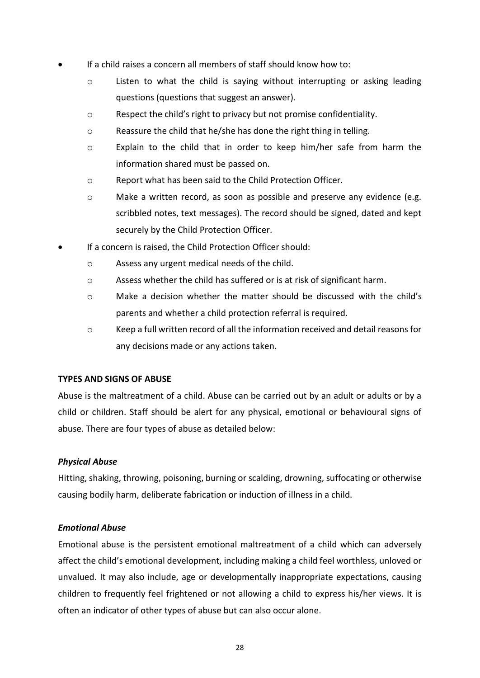- If a child raises a concern all members of staff should know how to:
	- o Listen to what the child is saying without interrupting or asking leading questions (questions that suggest an answer).
	- o Respect the child's right to privacy but not promise confidentiality.
	- o Reassure the child that he/she has done the right thing in telling.
	- o Explain to the child that in order to keep him/her safe from harm the information shared must be passed on.
	- o Report what has been said to the Child Protection Officer.
	- o Make a written record, as soon as possible and preserve any evidence (e.g. scribbled notes, text messages). The record should be signed, dated and kept securely by the Child Protection Officer.
- If a concern is raised, the Child Protection Officer should:
	- o Assess any urgent medical needs of the child.
	- o Assess whether the child has suffered or is at risk of significant harm.
	- $\circ$  Make a decision whether the matter should be discussed with the child's parents and whether a child protection referral is required.
	- o Keep a full written record of all the information received and detail reasons for any decisions made or any actions taken.

#### **TYPES AND SIGNS OF ABUSE**

Abuse is the maltreatment of a child. Abuse can be carried out by an adult or adults or by a child or children. Staff should be alert for any physical, emotional or behavioural signs of abuse. There are four types of abuse as detailed below:

#### *Physical Abuse*

Hitting, shaking, throwing, poisoning, burning or scalding, drowning, suffocating or otherwise causing bodily harm, deliberate fabrication or induction of illness in a child.

#### *Emotional Abuse*

Emotional abuse is the persistent emotional maltreatment of a child which can adversely affect the child's emotional development, including making a child feel worthless, unloved or unvalued. It may also include, age or developmentally inappropriate expectations, causing children to frequently feel frightened or not allowing a child to express his/her views. It is often an indicator of other types of abuse but can also occur alone.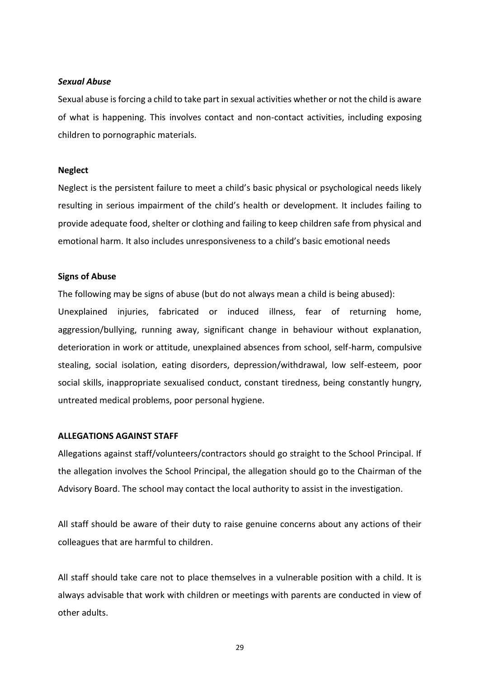#### *Sexual Abuse*

Sexual abuse is forcing a child to take part in sexual activities whether or not the child is aware of what is happening. This involves contact and non-contact activities, including exposing children to pornographic materials.

#### **Neglect**

Neglect is the persistent failure to meet a child's basic physical or psychological needs likely resulting in serious impairment of the child's health or development. It includes failing to provide adequate food, shelter or clothing and failing to keep children safe from physical and emotional harm. It also includes unresponsiveness to a child's basic emotional needs

#### **Signs of Abuse**

The following may be signs of abuse (but do not always mean a child is being abused): Unexplained injuries, fabricated or induced illness, fear of returning home, aggression/bullying, running away, significant change in behaviour without explanation, deterioration in work or attitude, unexplained absences from school, self-harm, compulsive stealing, social isolation, eating disorders, depression/withdrawal, low self-esteem, poor social skills, inappropriate sexualised conduct, constant tiredness, being constantly hungry, untreated medical problems, poor personal hygiene.

#### **ALLEGATIONS AGAINST STAFF**

Allegations against staff/volunteers/contractors should go straight to the School Principal. If the allegation involves the School Principal, the allegation should go to the Chairman of the Advisory Board. The school may contact the local authority to assist in the investigation.

All staff should be aware of their duty to raise genuine concerns about any actions of their colleagues that are harmful to children.

All staff should take care not to place themselves in a vulnerable position with a child. It is always advisable that work with children or meetings with parents are conducted in view of other adults.

29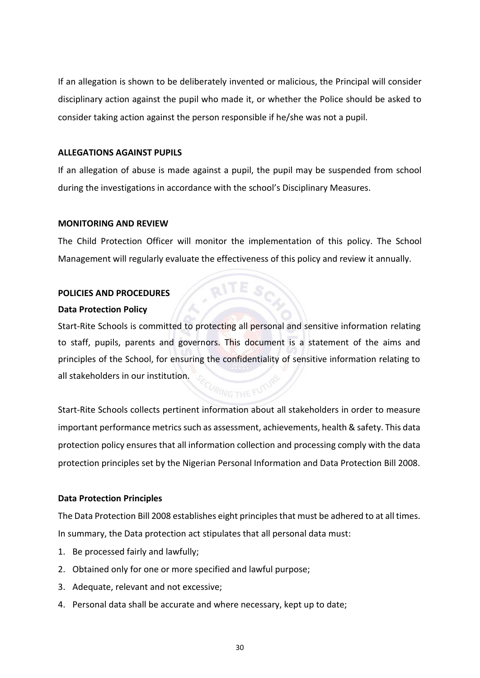If an allegation is shown to be deliberately invented or malicious, the Principal will consider disciplinary action against the pupil who made it, or whether the Police should be asked to consider taking action against the person responsible if he/she was not a pupil.

#### **ALLEGATIONS AGAINST PUPILS**

If an allegation of abuse is made against a pupil, the pupil may be suspended from school during the investigations in accordance with the school's Disciplinary Measures.

#### **MONITORING AND REVIEW**

The Child Protection Officer will monitor the implementation of this policy. The School Management will regularly evaluate the effectiveness of this policy and review it annually.

 $\alpha$  TE  $\alpha$ 

#### <span id="page-32-0"></span>**POLICIES AND PROCEDURES**

#### <span id="page-32-1"></span>**Data Protection Policy**

Start-Rite Schools is committed to protecting all personal and sensitive information relating to staff, pupils, parents and governors. This document is a statement of the aims and principles of the School, for ensuring the confidentiality of sensitive information relating to all stakeholders in our institution.

# Start-Rite Schools collects pertinent information about all stakeholders in order to measure important performance metrics such as assessment, achievements, health & safety. This data protection policy ensures that all information collection and processing comply with the data protection principles set by the Nigerian Personal Information and Data Protection Bill 2008.

#### <span id="page-32-2"></span>**Data Protection Principles**

The Data Protection Bill 2008 establishes eight principles that must be adhered to at all times. In summary, the Data protection act stipulates that all personal data must:

- 1. Be processed fairly and lawfully;
- 2. Obtained only for one or more specified and lawful purpose;
- 3. Adequate, relevant and not excessive;
- 4. Personal data shall be accurate and where necessary, kept up to date;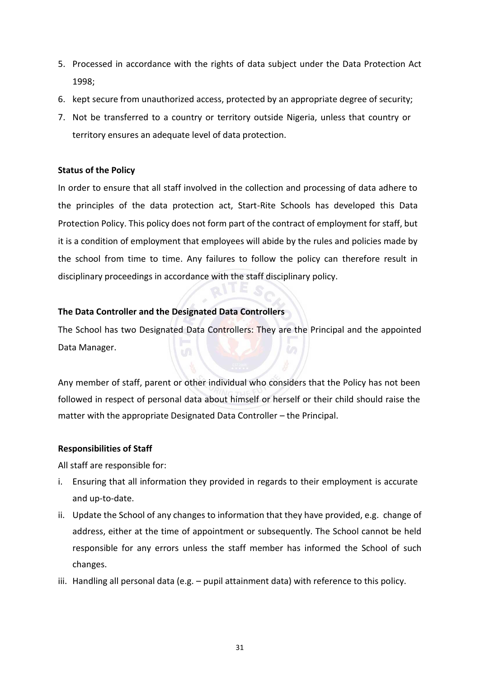- 5. Processed in accordance with the rights of data subject under the Data Protection Act 1998;
- 6. kept secure from unauthorized access, protected by an appropriate degree of security;
- 7. Not be transferred to a country or territory outside Nigeria, unless that country or territory ensures an adequate level of data protection.

#### <span id="page-33-0"></span>**Status of the Policy**

In order to ensure that all staff involved in the collection and processing of data adhere to the principles of the data protection act, Start-Rite Schools has developed this Data Protection Policy. This policy does not form part of the contract of employment for staff, but it is a condition of employment that employees will abide by the rules and policies made by the school from time to time. Any failures to follow the policy can therefore result in disciplinary proceedings in accordance with the staff disciplinary policy.

#### <span id="page-33-1"></span>**The Data Controller and the Designated Data Controllers**

The School has two Designated Data Controllers: They are the Principal and the appointed Data Manager.

Any member of staff, parent or other individual who considers that the Policy has not been followed in respect of personal data about himself or herself or their child should raise the matter with the appropriate Designated Data Controller – the Principal.

#### <span id="page-33-2"></span>**Responsibilities of Staff**

All staff are responsible for:

- i. Ensuring that all information they provided in regards to their employment is accurate and up-to-date.
- ii. Update the School of any changes to information that they have provided, e.g. change of address, either at the time of appointment or subsequently. The School cannot be held responsible for any errors unless the staff member has informed the School of such changes.
- iii. Handling all personal data (e.g. pupil attainment data) with reference to this policy.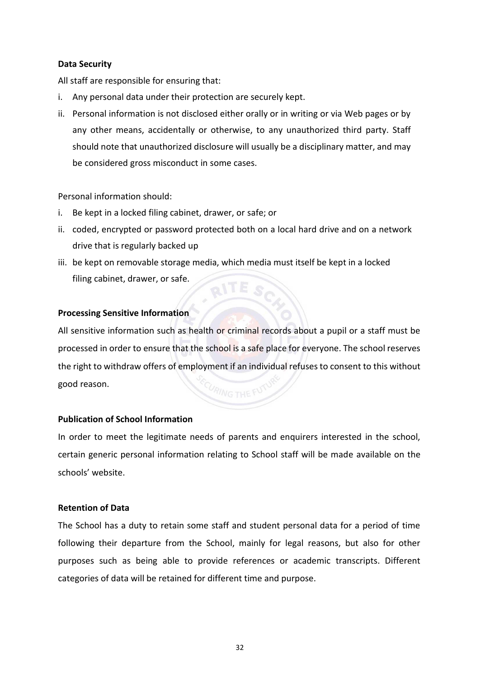#### <span id="page-34-0"></span>**Data Security**

All staff are responsible for ensuring that:

- i. Any personal data under their protection are securely kept.
- ii. Personal information is not disclosed either orally or in writing or via Web pages or by any other means, accidentally or otherwise, to any unauthorized third party. Staff should note that unauthorized disclosure will usually be a disciplinary matter, and may be considered gross misconduct in some cases.

Personal information should:

- i. Be kept in a locked filing cabinet, drawer, or safe; or
- ii. coded, encrypted or password protected both on a local hard drive and on a network drive that is regularly backed up
- iii. be kept on removable storage media, which media must itself be kept in a locked filing cabinet, drawer, or safe. **RITE SO**

#### <span id="page-34-1"></span>**Processing Sensitive Information**

All sensitive information such as health or criminal records about a pupil or a staff must be processed in order to ensure that the school is a safe place for everyone. The school reserves the right to withdraw offers of employment if an individual refuses to consent to this without good reason.

#### <span id="page-34-2"></span>**Publication of School Information**

In order to meet the legitimate needs of parents and enquirers interested in the school, certain generic personal information relating to School staff will be made available on the schools' website.

#### <span id="page-34-3"></span>**Retention of Data**

The School has a duty to retain some staff and student personal data for a period of time following their departure from the School, mainly for legal reasons, but also for other purposes such as being able to provide references or academic transcripts. Different categories of data will be retained for different time and purpose.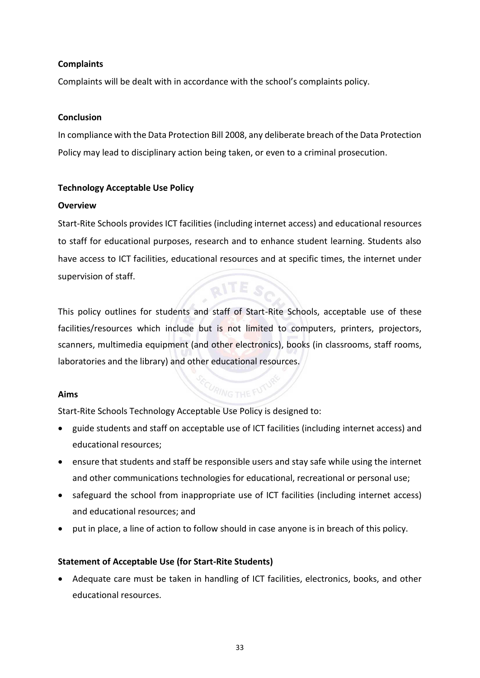#### <span id="page-35-0"></span>**Complaints**

Complaints will be dealt with in accordance with the school's complaints policy.

#### <span id="page-35-1"></span>**Conclusion**

In compliance with the Data Protection Bill 2008, any deliberate breach of the Data Protection Policy may lead to disciplinary action being taken, or even to a criminal prosecution.

#### <span id="page-35-2"></span>**Technology Acceptable Use Policy**

#### <span id="page-35-3"></span>**Overview**

Start-Rite Schools provides ICT facilities (including internet access) and educational resources to staff for educational purposes, research and to enhance student learning. Students also have access to ICT facilities, educational resources and at specific times, the internet under supervision of staff.  $QITES$ 

This policy outlines for students and staff of Start-Rite Schools, acceptable use of these facilities/resources which include but is not limited to computers, printers, projectors, scanners, multimedia equipment (and other electronics), books (in classrooms, staff rooms, laboratories and the library) and other educational resources.

#### <span id="page-35-4"></span>**Aims**

# FOURING THE FUTU

Start-Rite Schools Technology Acceptable Use Policy is designed to:

- guide students and staff on acceptable use of ICT facilities (including internet access) and educational resources;
- ensure that students and staff be responsible users and stay safe while using the internet and other communications technologies for educational, recreational or personal use;
- safeguard the school from inappropriate use of ICT facilities (including internet access) and educational resources; and
- put in place, a line of action to follow should in case anyone is in breach of this policy.

#### <span id="page-35-5"></span>**Statement of Acceptable Use (for Start-Rite Students)**

• Adequate care must be taken in handling of ICT facilities, electronics, books, and other educational resources.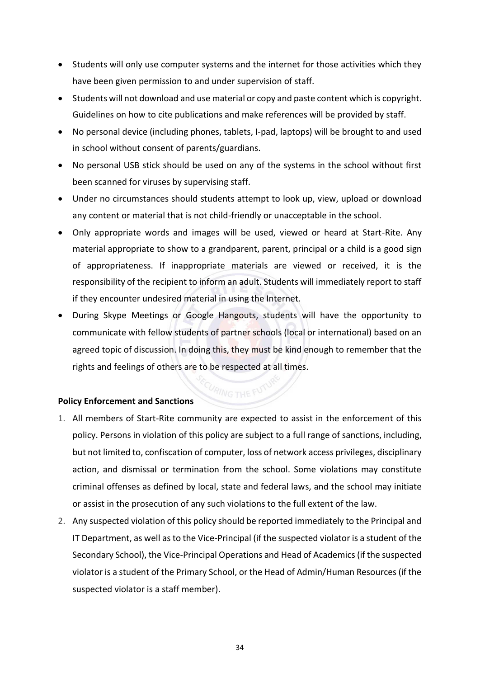- Students will only use computer systems and the internet for those activities which they have been given permission to and under supervision of staff.
- Students will not download and use material or copy and paste content which is copyright. Guidelines on how to cite publications and make references will be provided by staff.
- No personal device (including phones, tablets, I-pad, laptops) will be brought to and used in school without consent of parents/guardians.
- No personal USB stick should be used on any of the systems in the school without first been scanned for viruses by supervising staff.
- Under no circumstances should students attempt to look up, view, upload or download any content or material that is not child-friendly or unacceptable in the school.
- Only appropriate words and images will be used, viewed or heard at Start-Rite. Any material appropriate to show to a grandparent, parent, principal or a child is a good sign of appropriateness. If inappropriate materials are viewed or received, it is the responsibility of the recipient to inform an adult. Students will immediately report to staff if they encounter undesired material in using the Internet.
- During Skype Meetings or Google Hangouts, students will have the opportunity to communicate with fellow students of partner schools (local or international) based on an agreed topic of discussion. In doing this, they must be kind enough to remember that the rights and feelings of others are to be respected at all times.

#### <span id="page-36-0"></span>**Policy Enforcement and Sanctions**

- 1. All members of Start-Rite community are expected to assist in the enforcement of this policy. Persons in violation of this policy are subject to a full range of sanctions, including, but not limited to, confiscation of computer, loss of network access privileges, disciplinary action, and dismissal or termination from the school. Some violations may constitute criminal offenses as defined by local, state and federal laws, and the school may initiate or assist in the prosecution of any such violations to the full extent of the law.
- 2. Any suspected violation of this policy should be reported immediately to the Principal and IT Department, as well as to the Vice-Principal (if the suspected violator is a student of the Secondary School), the Vice-Principal Operations and Head of Academics (if the suspected violator is a student of the Primary School, or the Head of Admin/Human Resources (if the suspected violator is a staff member).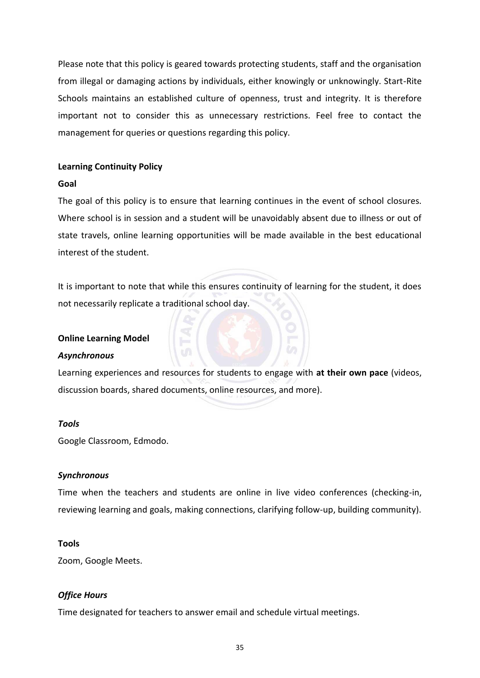Please note that this policy is geared towards protecting students, staff and the organisation from illegal or damaging actions by individuals, either knowingly or unknowingly. Start-Rite Schools maintains an established culture of openness, trust and integrity. It is therefore important not to consider this as unnecessary restrictions. Feel free to contact the management for queries or questions regarding this policy.

#### <span id="page-37-0"></span>**Learning Continuity Policy**

#### <span id="page-37-1"></span>**Goal**

The goal of this policy is to ensure that learning continues in the event of school closures. Where school is in session and a student will be unavoidably absent due to illness or out of state travels, online learning opportunities will be made available in the best educational interest of the student.

It is important to note that while this ensures continuity of learning for the student, it does not necessarily replicate a traditional school day.

#### <span id="page-37-2"></span>**Online Learning Model**

#### *Asynchronous*

Learning experiences and resources for students to engage with **at their own pace** (videos, discussion boards, shared documents, online resources, and more).

#### *Tools*

Google Classroom, Edmodo.

#### *Synchronous*

Time when the teachers and students are online in live video conferences (checking-in, reviewing learning and goals, making connections, clarifying follow-up, building community).

#### **Tools**

Zoom, Google Meets.

#### *Office Hours*

Time designated for teachers to answer email and schedule virtual meetings.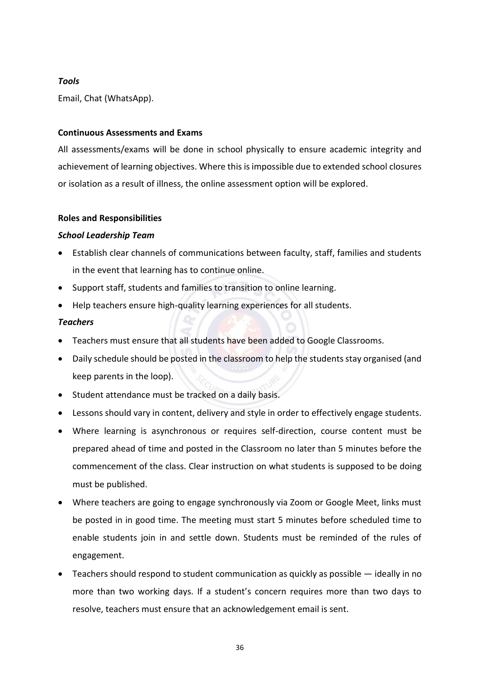#### *Tools*

Email, Chat (WhatsApp).

#### <span id="page-38-0"></span>**Continuous Assessments and Exams**

All assessments/exams will be done in school physically to ensure academic integrity and achievement of learning objectives. Where this is impossible due to extended school closures or isolation as a result of illness, the online assessment option will be explored.

#### <span id="page-38-1"></span>**Roles and Responsibilities**

#### *School Leadership Team*

- Establish clear channels of communications between faculty, staff, families and students in the event that learning has to continue online.
- Support staff, students and families to transition to online learning.
- Help teachers ensure high-quality learning experiences for all students.

#### *Teachers*

- Teachers must ensure that all students have been added to Google Classrooms.
- Daily schedule should be posted in the classroom to help the students stay organised (and keep parents in the loop).
- Student attendance must be tracked on a daily basis.
- Lessons should vary in content, delivery and style in order to effectively engage students.
- Where learning is asynchronous or requires self-direction, course content must be prepared ahead of time and posted in the Classroom no later than 5 minutes before the commencement of the class. Clear instruction on what students is supposed to be doing must be published.
- Where teachers are going to engage synchronously via Zoom or Google Meet, links must be posted in in good time. The meeting must start 5 minutes before scheduled time to enable students join in and settle down. Students must be reminded of the rules of engagement.
- Teachers should respond to student communication as quickly as possible ideally in no more than two working days. If a student's concern requires more than two days to resolve, teachers must ensure that an acknowledgement email is sent.